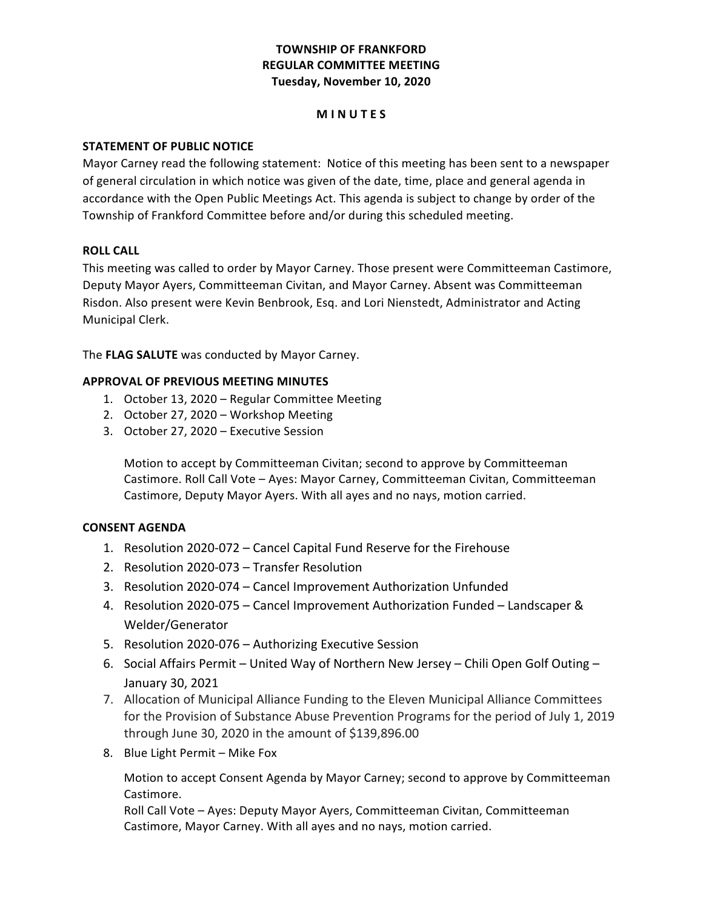# **TOWNSHIP OF FRANKFORD REGULAR COMMITTEE MEETING Tuesday, November 10, 2020**

### **M I N U T E S**

### **STATEMENT OF PUBLIC NOTICE**

Mayor Carney read the following statement: Notice of this meeting has been sent to a newspaper of general circulation in which notice was given of the date, time, place and general agenda in accordance with the Open Public Meetings Act. This agenda is subject to change by order of the Township of Frankford Committee before and/or during this scheduled meeting.

### **ROLL CALL**

This meeting was called to order by Mayor Carney. Those present were Committeeman Castimore, Deputy Mayor Ayers, Committeeman Civitan, and Mayor Carney. Absent was Committeeman Risdon. Also present were Kevin Benbrook, Esq. and Lori Nienstedt, Administrator and Acting Municipal Clerk.

 The **FLAG SALUTE** was conducted by Mayor Carney.

### **APPROVAL OF PREVIOUS MEETING MINUTES**

- 1. October 13, 2020 Regular Committee Meeting
- 2. October 27, 2020 Workshop Meeting
- 3. October 27, 2020 Executive Session

Motion to accept by Committeeman Civitan; second to approve by Committeeman Castimore. Roll Call Vote - Ayes: Mayor Carney, Committeeman Civitan, Committeeman Castimore, Deputy Mayor Ayers. With all ayes and no nays, motion carried.

### **CONSENT AGENDA**

- 1. Resolution 2020-072 Cancel Capital Fund Reserve for the Firehouse
- 2. Resolution 2020-073 Transfer Resolution
- 3. Resolution 2020-074 Cancel Improvement Authorization Unfunded
- 4. Resolution 2020-075 Cancel Improvement Authorization Funded Landscaper & Welder/Generator
- 5. Resolution 2020-076 Authorizing Executive Session
- 6. Social Affairs Permit United Way of Northern New Jersey Chili Open Golf Outing January 30, 2021
- 7. Allocation of Municipal Alliance Funding to the Eleven Municipal Alliance Committees for the Provision of Substance Abuse Prevention Programs for the period of July 1, 2019 through June 30, 2020 in the amount of \$139,896.00
- 8. Blue Light Permit Mike Fox

Motion to accept Consent Agenda by Mayor Carney; second to approve by Committeeman Castimore. 

Roll Call Vote – Ayes: Deputy Mayor Ayers, Committeeman Civitan, Committeeman Castimore, Mayor Carney. With all ayes and no nays, motion carried.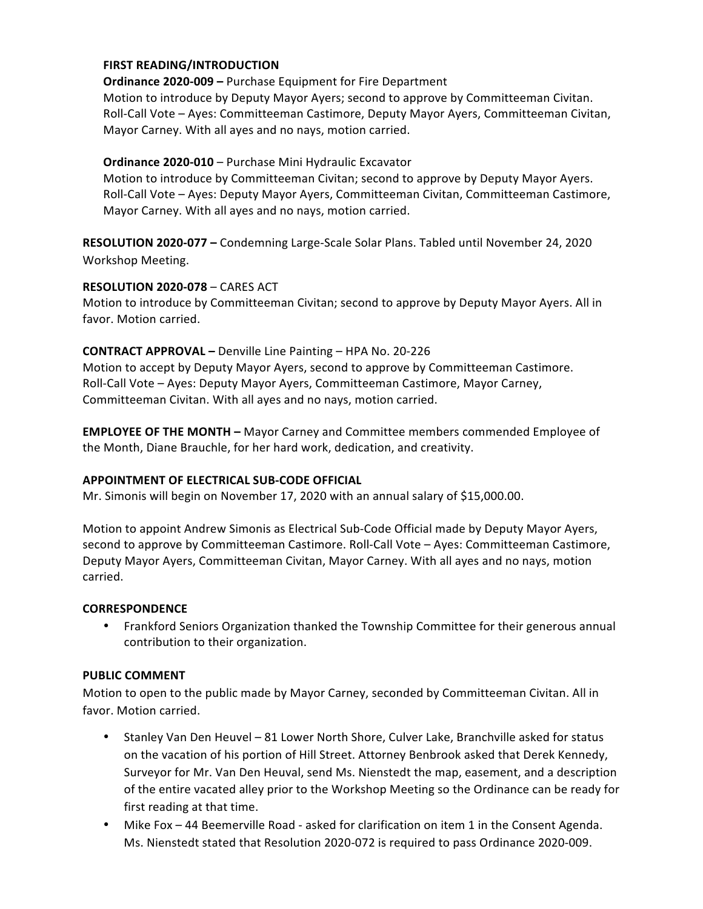### **FIRST READING/INTRODUCTION**

**Ordinance 2020-009 - Purchase Equipment for Fire Department** Motion to introduce by Deputy Mayor Ayers; second to approve by Committeeman Civitan. Roll-Call Vote - Ayes: Committeeman Castimore, Deputy Mayor Ayers, Committeeman Civitan, Mayor Carney. With all ayes and no nays, motion carried.

### **Ordinance 2020-010** – Purchase Mini Hydraulic Excavator

Motion to introduce by Committeeman Civitan; second to approve by Deputy Mayor Ayers. Roll-Call Vote – Ayes: Deputy Mayor Ayers, Committeeman Civitan, Committeeman Castimore, Mayor Carney. With all ayes and no nays, motion carried.

RESOLUTION 2020-077 - Condemning Large-Scale Solar Plans. Tabled until November 24, 2020 Workshop Meeting.

### **RESOLUTION 2020-078** – CARES ACT

Motion to introduce by Committeeman Civitan; second to approve by Deputy Mayor Ayers. All in favor. Motion carried.

### **CONTRACT APPROVAL** - Denville Line Painting - HPA No. 20-226

Motion to accept by Deputy Mayor Ayers, second to approve by Committeeman Castimore. Roll-Call Vote – Ayes: Deputy Mayor Ayers, Committeeman Castimore, Mayor Carney, Committeeman Civitan. With all ayes and no nays, motion carried.

**EMPLOYEE OF THE MONTH** - Mayor Carney and Committee members commended Employee of the Month, Diane Brauchle, for her hard work, dedication, and creativity.

### **APPOINTMENT OF ELECTRICAL SUB-CODE OFFICIAL**

 Mr. Simonis will begin on November 17, 2020 with an annual salary of \$15,000.00.

 Motion to appoint Andrew Simonis as Electrical Sub-Code Official made by Deputy Mayor Ayers, second to approve by Committeeman Castimore. Roll-Call Vote - Ayes: Committeeman Castimore, Deputy Mayor Ayers, Committeeman Civitan, Mayor Carney. With all ayes and no nays, motion carried.

### **CORRESPONDENCE**

• Frankford Seniors Organization thanked the Township Committee for their generous annual contribution to their organization.

### **PUBLIC COMMENT**

 Motion to open to the public made by Mayor Carney, seconded by Committeeman Civitan. All in favor. Motion carried.

- Stanley Van Den Heuvel 81 Lower North Shore, Culver Lake, Branchville asked for status on the vacation of his portion of Hill Street. Attorney Benbrook asked that Derek Kennedy, Surveyor for Mr. Van Den Heuval, send Ms. Nienstedt the map, easement, and a description of the entire vacated alley prior to the Workshop Meeting so the Ordinance can be ready for first reading at that time.
- Mike Fox 44 Beemerville Road asked for clarification on item 1 in the Consent Agenda. Ms. Nienstedt stated that Resolution 2020-072 is required to pass Ordinance 2020-009.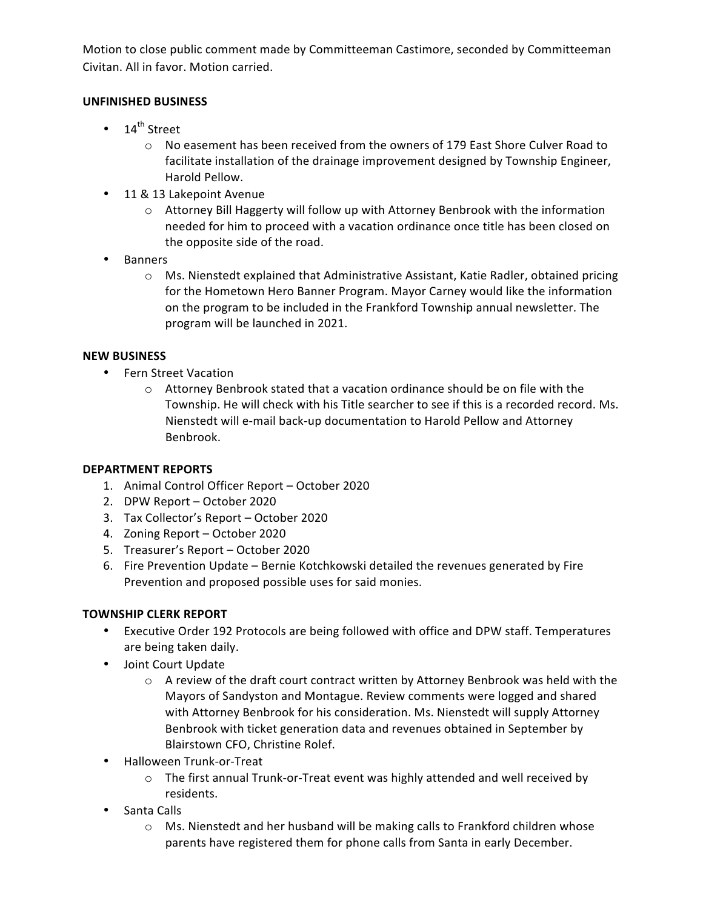Motion to close public comment made by Committeeman Castimore, seconded by Committeeman Civitan. All in favor. Motion carried.

# **UNFINISHED BUSINESS**

- $14^{th}$  Street
	- $\circ$  No easement has been received from the owners of 179 East Shore Culver Road to facilitate installation of the drainage improvement designed by Township Engineer, Harold Pellow.
- 11 & 13 Lakepoint Avenue
	- $\circ$  Attorney Bill Haggerty will follow up with Attorney Benbrook with the information needed for him to proceed with a vacation ordinance once title has been closed on the opposite side of the road.
- • Banners
	- $\circ$  Ms. Nienstedt explained that Administrative Assistant, Katie Radler, obtained pricing for the Hometown Hero Banner Program. Mayor Carney would like the information on the program to be included in the Frankford Township annual newsletter. The program will be launched in 2021.

# **NEW BUSINESS**

- • Fern Street Vacation
	- $\circ$  Attorney Benbrook stated that a vacation ordinance should be on file with the Township. He will check with his Title searcher to see if this is a recorded record. Ms. Nienstedt will e-mail back-up documentation to Harold Pellow and Attorney Benbrook.

# **DEPARTMENT REPORTS**

- 1. Animal Control Officer Report October 2020
- 2. DPW Report October 2020
- 3. Tax Collector's Report October 2020
- 4. Zoning Report October 2020
- 5. Treasurer's Report October 2020
- 6. Fire Prevention Update Bernie Kotchkowski detailed the revenues generated by Fire Prevention and proposed possible uses for said monies.

# **TOWNSHIP CLERK REPORT**

- Executive Order 192 Protocols are being followed with office and DPW staff. Temperatures are being taken daily.
- Joint Court Update
	- $\circ$  A review of the draft court contract written by Attorney Benbrook was held with the Mayors of Sandyston and Montague. Review comments were logged and shared with Attorney Benbrook for his consideration. Ms. Nienstedt will supply Attorney Benbrook with ticket generation data and revenues obtained in September by Blairstown CFO, Christine Rolef.
- • Halloween Trunk-or-Treat
	- $\circ$  The first annual Trunk-or-Treat event was highly attended and well received by residents.
- Santa Calls
	- $\circ$  Ms. Nienstedt and her husband will be making calls to Frankford children whose parents have registered them for phone calls from Santa in early December.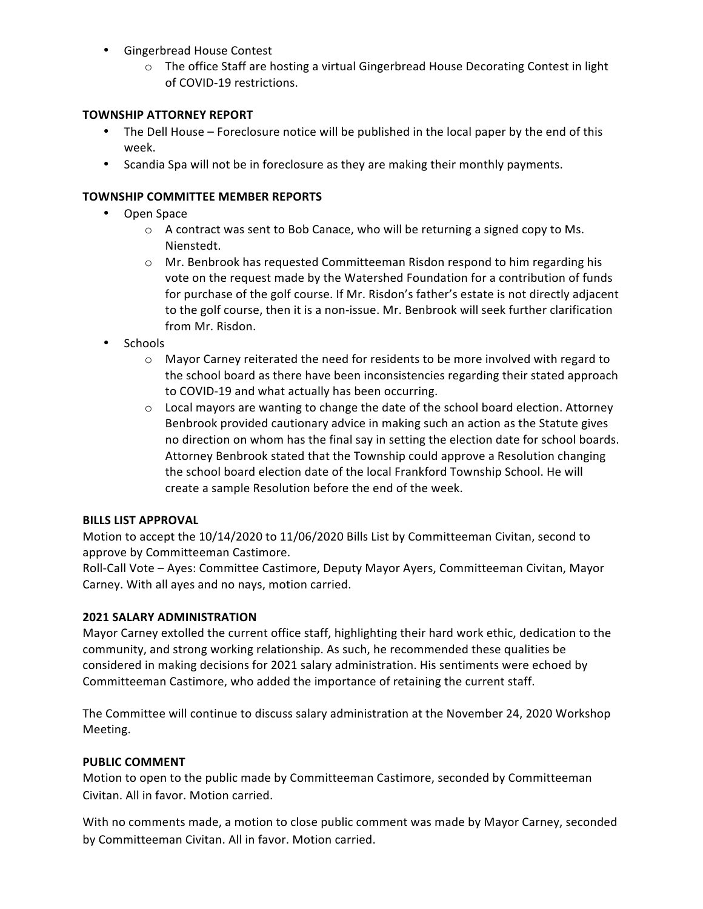- • Gingerbread House Contest
	- $\circ$  The office Staff are hosting a virtual Gingerbread House Decorating Contest in light of COVID-19 restrictions.

## **TOWNSHIP ATTORNEY REPORT**

- The Dell House Foreclosure notice will be published in the local paper by the end of this week.
- Scandia Spa will not be in foreclosure as they are making their monthly payments.

# **TOWNSHIP COMMITTEE MEMBER REPORTS**

- • Open Space
	- $\circ$  A contract was sent to Bob Canace, who will be returning a signed copy to Ms. Nienstedt.
	- $\circ$  Mr. Benbrook has requested Committeeman Risdon respond to him regarding his vote on the request made by the Watershed Foundation for a contribution of funds for purchase of the golf course. If Mr. Risdon's father's estate is not directly adjacent to the golf course, then it is a non-issue. Mr. Benbrook will seek further clarification from Mr. Risdon.
- • Schools
	- $\circ$  Mayor Carney reiterated the need for residents to be more involved with regard to the school board as there have been inconsistencies regarding their stated approach to COVID-19 and what actually has been occurring.
	- $\circ$  Local mayors are wanting to change the date of the school board election. Attorney Benbrook provided cautionary advice in making such an action as the Statute gives no direction on whom has the final say in setting the election date for school boards. Attorney Benbrook stated that the Township could approve a Resolution changing the school board election date of the local Frankford Township School. He will create a sample Resolution before the end of the week.

## **BILLS LIST APPROVAL**

Motion to accept the 10/14/2020 to 11/06/2020 Bills List by Committeeman Civitan, second to approve by Committeeman Castimore.

Roll-Call Vote - Ayes: Committee Castimore, Deputy Mayor Ayers, Committeeman Civitan, Mayor Carney. With all ayes and no nays, motion carried.

## **2021 SALARY ADMINISTRATION**

Mayor Carney extolled the current office staff, highlighting their hard work ethic, dedication to the community, and strong working relationship. As such, he recommended these qualities be considered in making decisions for 2021 salary administration. His sentiments were echoed by Committeeman Castimore, who added the importance of retaining the current staff.

The Committee will continue to discuss salary administration at the November 24, 2020 Workshop Meeting.

## **PUBLIC COMMENT**

Motion to open to the public made by Committeeman Castimore, seconded by Committeeman Civitan. All in favor. Motion carried.

 With no comments made, a motion to close public comment was made by Mayor Carney, seconded by Committeeman Civitan. All in favor. Motion carried.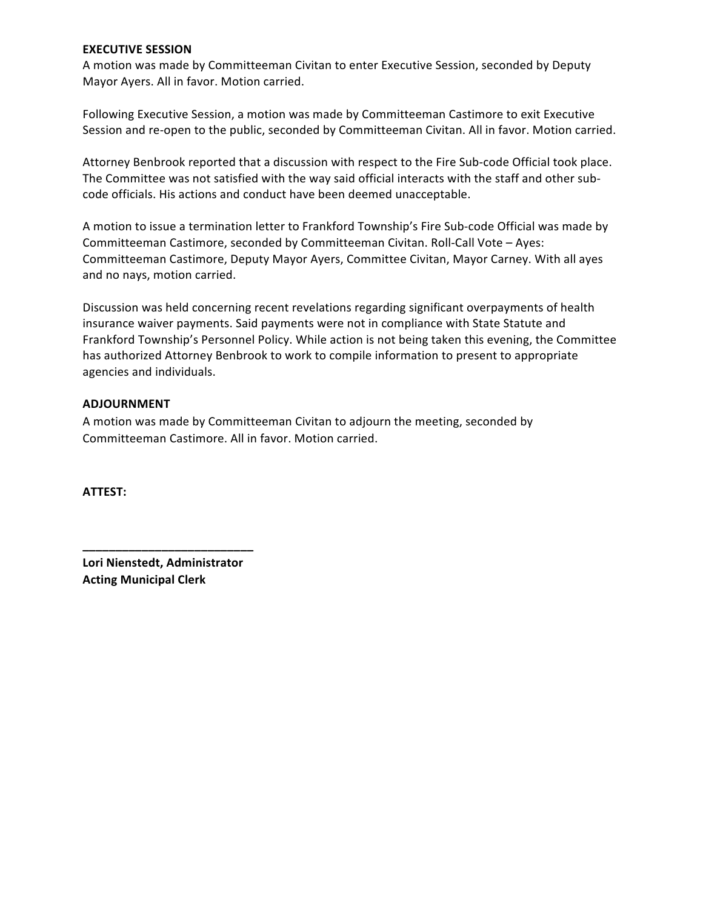### **EXECUTIVE SESSION**

A motion was made by Committeeman Civitan to enter Executive Session, seconded by Deputy Mayor Ayers. All in favor. Motion carried.

Following Executive Session, a motion was made by Committeeman Castimore to exit Executive Session and re-open to the public, seconded by Committeeman Civitan. All in favor. Motion carried.

Attorney Benbrook reported that a discussion with respect to the Fire Sub-code Official took place. The Committee was not satisfied with the way said official interacts with the staff and other subcode officials. His actions and conduct have been deemed unacceptable.

A motion to issue a termination letter to Frankford Township's Fire Sub-code Official was made by Committeeman Castimore, seconded by Committeeman Civitan. Roll-Call Vote - Ayes: Committeeman Castimore, Deputy Mayor Ayers, Committee Civitan, Mayor Carney. With all ayes and no nays, motion carried.

Discussion was held concerning recent revelations regarding significant overpayments of health insurance waiver payments. Said payments were not in compliance with State Statute and Frankford Township's Personnel Policy. While action is not being taken this evening, the Committee has authorized Attorney Benbrook to work to compile information to present to appropriate agencies and individuals.

### **ADJOURNMENT**

A motion was made by Committeeman Civitan to adjourn the meeting, seconded by Committeeman Castimore. All in favor. Motion carried.

**ATTEST:**

 **Lori Nienstedt, Administrator Acting Municipal Clerk**

**\_\_\_\_\_\_\_\_\_\_\_\_\_\_\_\_\_\_\_\_\_\_\_\_\_\_**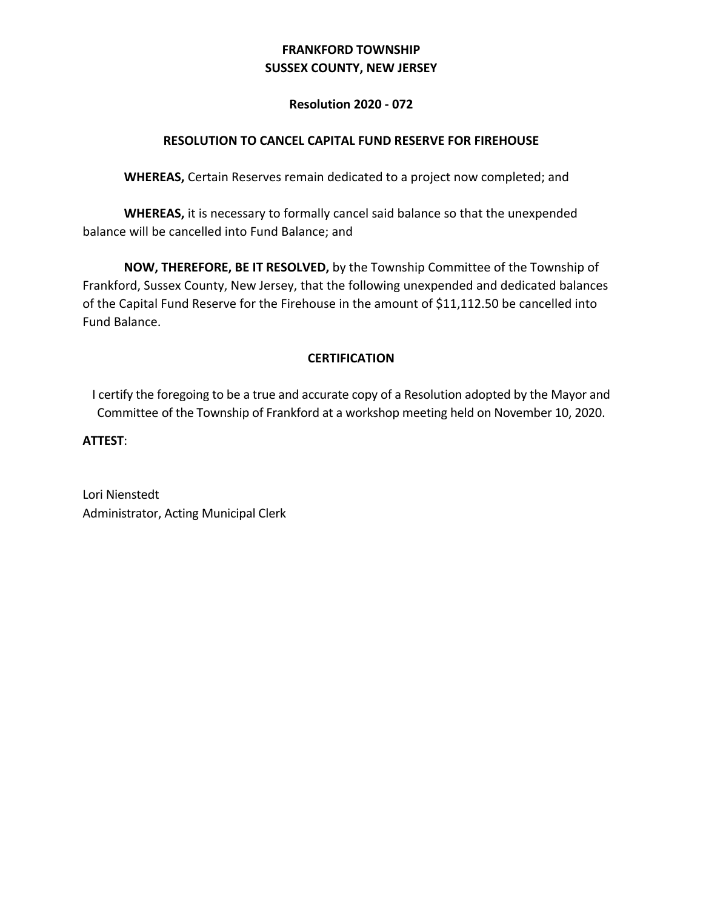# **FRANKFORD TOWNSHIP SUSSEX COUNTY, NEW JERSEY**

# **Resolution 2020 - 072**

# **RESOLUTION TO CANCEL CAPITAL FUND RESERVE FOR FIREHOUSE**

WHEREAS, Certain Reserves remain dedicated to a project now completed; and

**WHEREAS,** it is necessary to formally cancel said balance so that the unexpended balance will be cancelled into Fund Balance; and

**NOW, THEREFORE, BE IT RESOLVED,** by the Township Committee of the Township of Frankford, Sussex County, New Jersey, that the following unexpended and dedicated balances of the Capital Fund Reserve for the Firehouse in the amount of \$11,112.50 be cancelled into Fund Balance.

# **CERTIFICATION**

I certify the foregoing to be a true and accurate copy of a Resolution adopted by the Mayor and Committee of the Township of Frankford at a workshop meeting held on November 10, 2020.

**ATTEST**: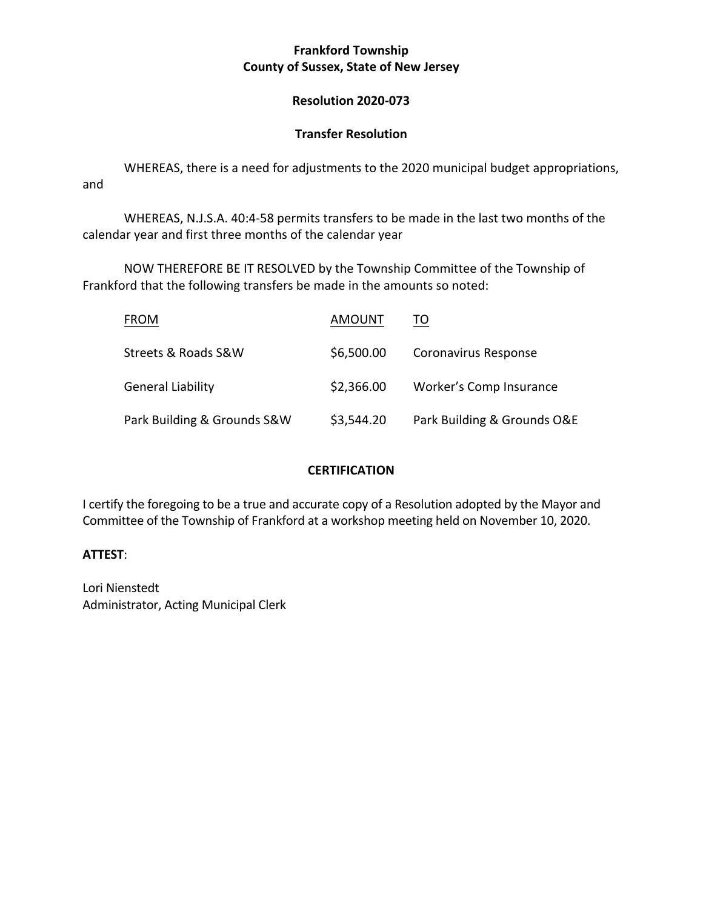# **Frankford Township County of Sussex, State of New Jersey**

# **Resolution 2020-073**

# **Transfer Resolution**

WHEREAS, there is a need for adjustments to the 2020 municipal budget appropriations, and

WHEREAS, N.J.S.A. 40:4-58 permits transfers to be made in the last two months of the calendar year and first three months of the calendar year

 NOW THEREFORE BE IT RESOLVED by the Township Committee of the Township of Frankford that the following transfers be made in the amounts so noted:

| <b>FROM</b>                 | AMOUNT     | TO                          |
|-----------------------------|------------|-----------------------------|
| Streets & Roads S&W         | \$6,500.00 | Coronavirus Response        |
| <b>General Liability</b>    | \$2,366.00 | Worker's Comp Insurance     |
| Park Building & Grounds S&W | \$3,544.20 | Park Building & Grounds O&E |

# **CERTIFICATION**

I certify the foregoing to be a true and accurate copy of a Resolution adopted by the Mayor and Committee of the Township of Frankford at a workshop meeting held on November 10, 2020.

# **ATTEST**: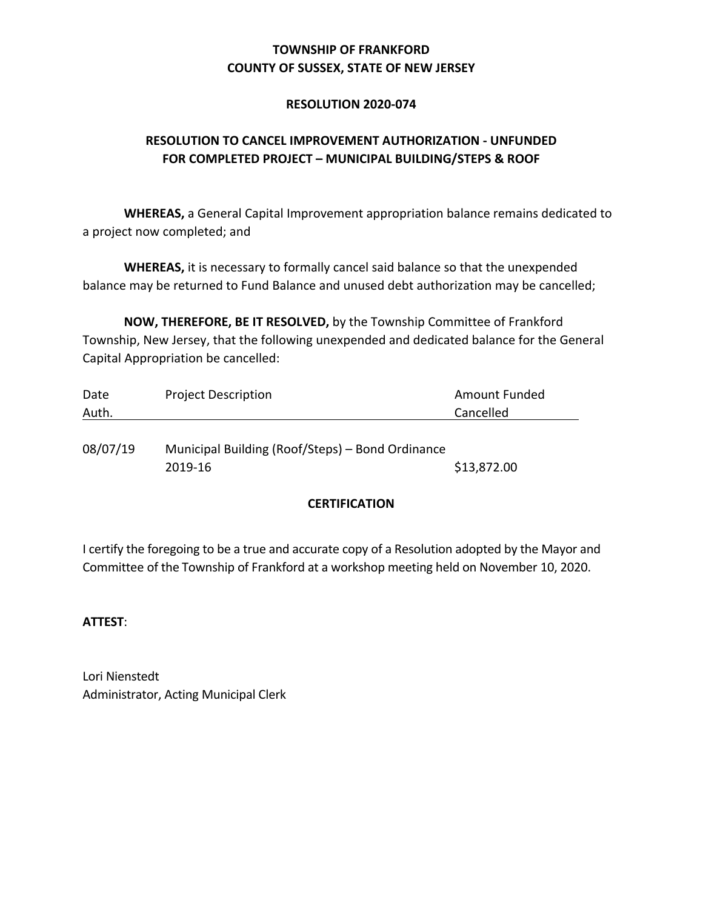# **COUNTY OF SUSSEX, STATE OF NEW JERSEY TOWNSHIP OF FRANKFORD**

# **RESOLUTION 2020-074**

# **RESOLUTION TO CANCEL IMPROVEMENT AUTHORIZATION - UNFUNDED FOR COMPLETED PROJECT – MUNICIPAL BUILDING/STEPS & ROOF**

 **WHEREAS,** a General Capital Improvement appropriation balance remains dedicated to a project now completed; and

**WHEREAS,** it is necessary to formally cancel said balance so that the unexpended balance may be returned to Fund Balance and unused debt authorization may be cancelled;

**NOW, THEREFORE, BE IT RESOLVED,** by the Township Committee of Frankford Township, New Jersey, that the following unexpended and dedicated balance for the General Capital Appropriation be cancelled:

| Date  | <b>Project Description</b> | Amount Funded |
|-------|----------------------------|---------------|
| Auth. |                            | Cancelled     |
|       |                            |               |

08/07/19 Municipal Building (Roof/Steps) – Bond Ordinance 2019-16 \$13,872.00

## **CERTIFICATION**

I certify the foregoing to be a true and accurate copy of a Resolution adopted by the Mayor and Committee of the Township of Frankford at a workshop meeting held on November 10, 2020.

## **ATTEST**: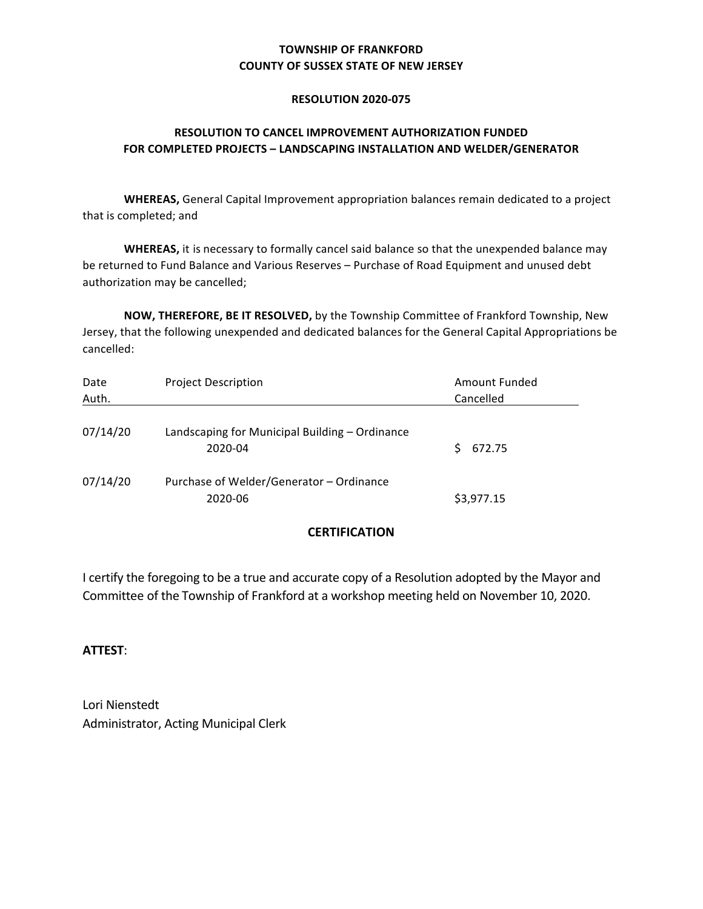## **TOWNSHIP OF FRANKFORD COUNTY OF SUSSEX STATE OF NEW JERSEY**

#### **RESOLUTION 2020-075**

## **RESOLUTION TO CANCEL IMPROVEMENT AUTHORIZATION FUNDED FOR COMPLETED PROJECTS – LANDSCAPING INSTALLATION AND WELDER/GENERATOR**

 **WHEREAS,** General Capital Improvement appropriation balances remain dedicated to a project that is completed; and

be returned to Fund Balance and Various Reserves – Purchase of Road Equipment and unused debt authorization may be cancelled; **WHEREAS,** it is necessary to formally cancel said balance so that the unexpended balance may

**NOW, THEREFORE, BE IT RESOLVED,** by the Township Committee of Frankford Township, New Jersey, that the following unexpended and dedicated balances for the General Capital Appropriations be cancelled:

| Date     | <b>Project Description</b>                                | Amount Funded |
|----------|-----------------------------------------------------------|---------------|
| Auth.    |                                                           | Cancelled     |
| 07/14/20 | Landscaping for Municipal Building - Ordinance<br>2020-04 | 672.75        |
| 07/14/20 | Purchase of Welder/Generator - Ordinance<br>2020-06       | \$3,977.15    |

## **CERTIFICATION**

I certify the foregoing to be a true and accurate copy of a Resolution adopted by the Mayor and Committee of the Township of Frankford at a workshop meeting held on November 10, 2020.

## **ATTEST**: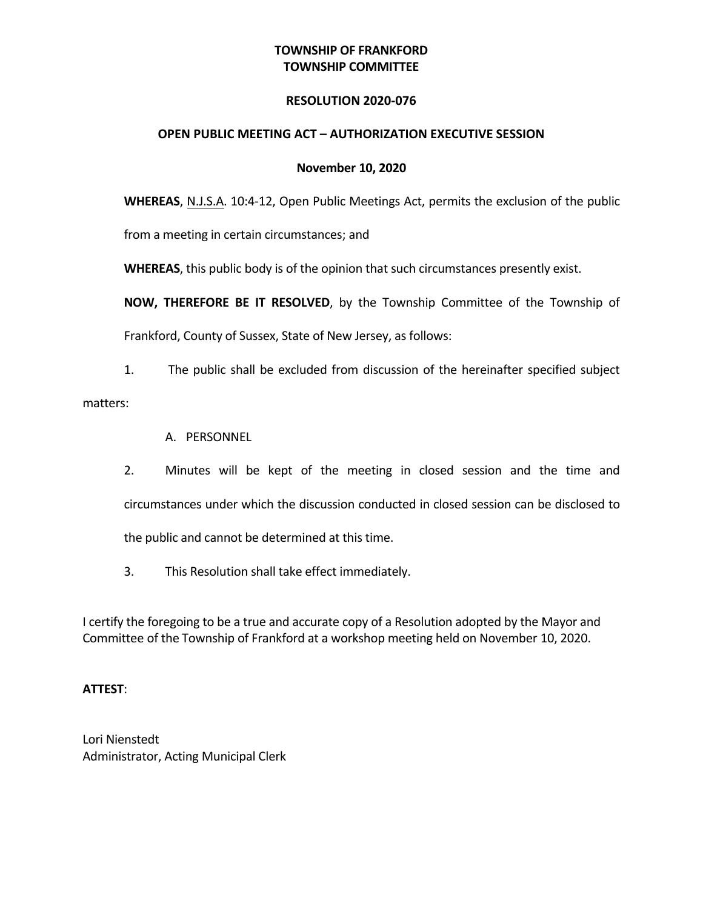# **TOWNSHIP OF FRANKFORD TOWNSHIP COMMITTEE**

## **RESOLUTION 2020-076**

## **OPEN PUBLIC MEETING ACT – AUTHORIZATION EXECUTIVE SESSION**

## **November 10, 2020**

**WHEREAS**, N.J.S.A. 10:4-12, Open Public Meetings Act, permits the exclusion of the public

from a meeting in certain circumstances; and

WHEREAS, this public body is of the opinion that such circumstances presently exist.

**NOW, THEREFORE BE IT RESOLVED,** by the Township Committee of the Township of

Frankford, County of Sussex, State of New Jersey, as follows:

1. The public shall be excluded from discussion of the hereinafter specified subject

matters: 

- A. PERSONNEL
- circumstances under which the discussion conducted in closed session can be disclosed to 2. Minutes will be kept of the meeting in closed session and the time and the public and cannot be determined at this time.
- 3. This Resolution shall take effect immediately.

I certify the foregoing to be a true and accurate copy of a Resolution adopted by the Mayor and Committee of the Township of Frankford at a workshop meeting held on November 10, 2020.

## **ATTEST**: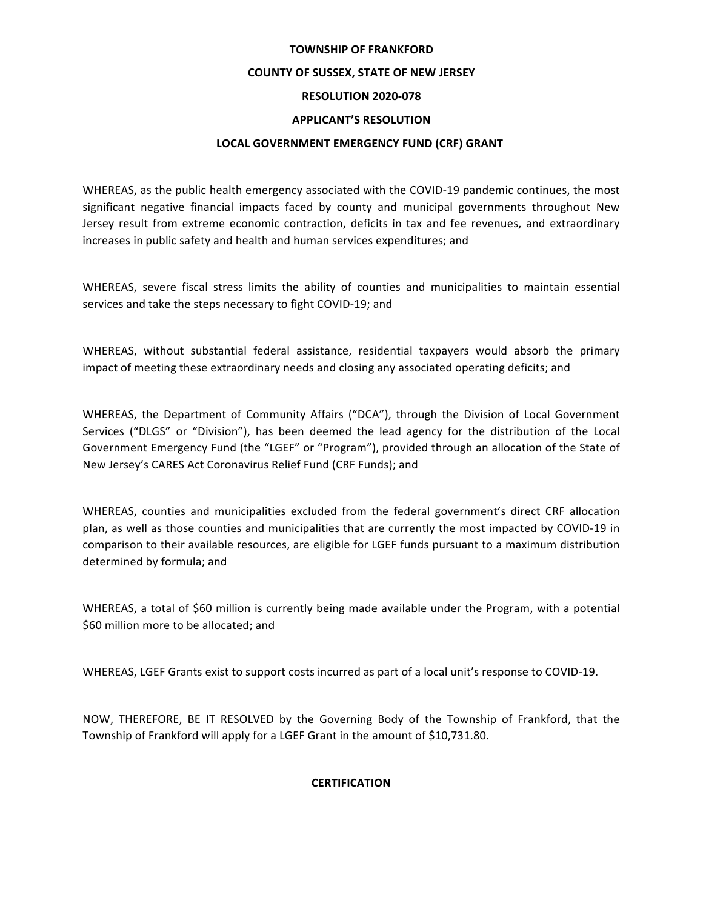### **TOWNSHIP OF FRANKFORD**

#### **COUNTY OF SUSSEX, STATE OF NEW JERSEY**

### **RESOLUTION 2020-078**

#### **APPLICANT'S RESOLUTION**

#### **LOCAL GOVERNMENT EMERGENCY FUND (CRF) GRANT**

WHEREAS, as the public health emergency associated with the COVID-19 pandemic continues, the most significant negative financial impacts faced by county and municipal governments throughout New Jersey result from extreme economic contraction, deficits in tax and fee revenues, and extraordinary increases in public safety and health and human services expenditures; and

WHEREAS, severe fiscal stress limits the ability of counties and municipalities to maintain essential services and take the steps necessary to fight COVID-19; and

 WHEREAS, without substantial federal assistance, residential taxpayers would absorb the primary impact of meeting these extraordinary needs and closing any associated operating deficits; and

 WHEREAS, the Department of Community Affairs ("DCA"), through the Division of Local Government Services ("DLGS" or "Division"), has been deemed the lead agency for the distribution of the Local Government Emergency Fund (the "LGEF" or "Program"), provided through an allocation of the State of New Jersey's CARES Act Coronavirus Relief Fund (CRF Funds); and

 WHEREAS, counties and municipalities excluded from the federal government's direct CRF allocation plan, as well as those counties and municipalities that are currently the most impacted by COVID-19 in comparison to their available resources, are eligible for LGEF funds pursuant to a maximum distribution determined by formula; and

WHEREAS, a total of \$60 million is currently being made available under the Program, with a potential \$60 million more to be allocated; and

 WHEREAS, LGEF Grants exist to support costs incurred as part of a local unit's response to COVID-19.

NOW, THEREFORE, BE IT RESOLVED by the Governing Body of the Township of Frankford, that the Township of Frankford will apply for a LGEF Grant in the amount of \$10,731.80.

### **CERTIFICATION**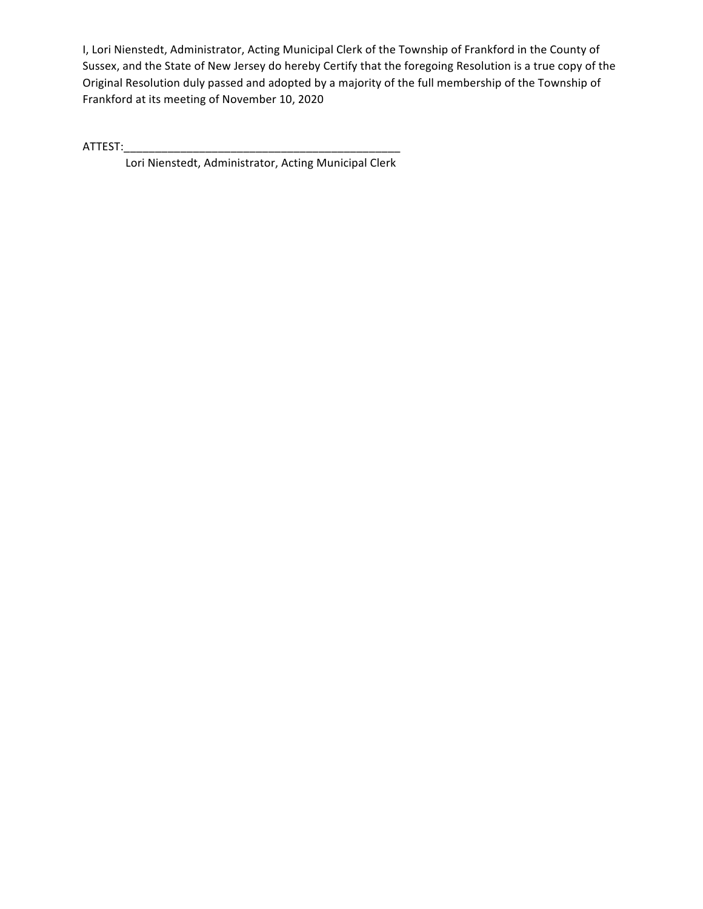I, Lori Nienstedt, Administrator, Acting Municipal Clerk of the Township of Frankford in the County of Sussex, and the State of New Jersey do hereby Certify that the foregoing Resolution is a true copy of the Original Resolution duly passed and adopted by a majority of the full membership of the Township of Frankford at its meeting of November 10, 2020

ATTEST:\_\_\_\_\_\_\_\_\_\_\_\_\_\_\_\_\_\_\_\_\_\_\_\_\_\_\_\_\_\_\_\_\_\_\_\_\_\_\_\_\_\_\_\_

Lori Nienstedt, Lori Nienstedt, Administrator, Acting Municipal Clerk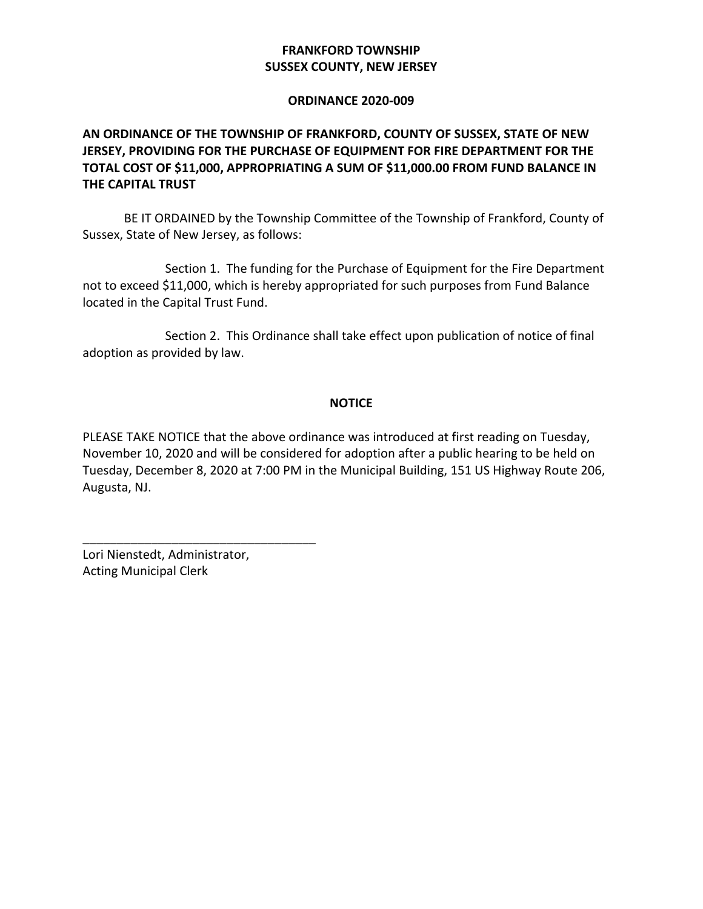# **FRANKFORD TOWNSHIP SUSSEX COUNTY, NEW JERSEY**

### **ORDINANCE 2020-009**

# **AN ORDINANCE OF THE TOWNSHIP OF FRANKFORD, COUNTY OF SUSSEX, STATE OF NEW JERSEY, PROVIDING FOR THE PURCHASE OF EQUIPMENT FOR FIRE DEPARTMENT FOR THE TOTAL COST OF \$11,000, APPROPRIATING A SUM OF \$11,000.00 FROM FUND BALANCE IN THE CAPITAL TRUST**

 BE IT ORDAINED by the Township Committee of the Township of Frankford, County of Sussex, State of New Jersey, as follows:

Section 1. The funding for the Purchase of Equipment for the Fire Department not to exceed \$11,000, which is hereby appropriated for such purposes from Fund Balance located in the Capital Trust Fund.

Section 2. This Ordinance shall take effect upon publication of notice of final adoption as provided by law.

## **NOTICE**

PLEASE TAKE NOTICE that the above ordinance was introduced at first reading on Tuesday, November 10, 2020 and will be considered for adoption after a public hearing to be held on Tuesday, December 8, 2020 at 7:00 PM in the Municipal Building, 151 US Highway Route 206, Augusta, NJ.

 Lori Nienstedt, Administrator, Acting Municipal Clerk

\_\_\_\_\_\_\_\_\_\_\_\_\_\_\_\_\_\_\_\_\_\_\_\_\_\_\_\_\_\_\_\_\_\_